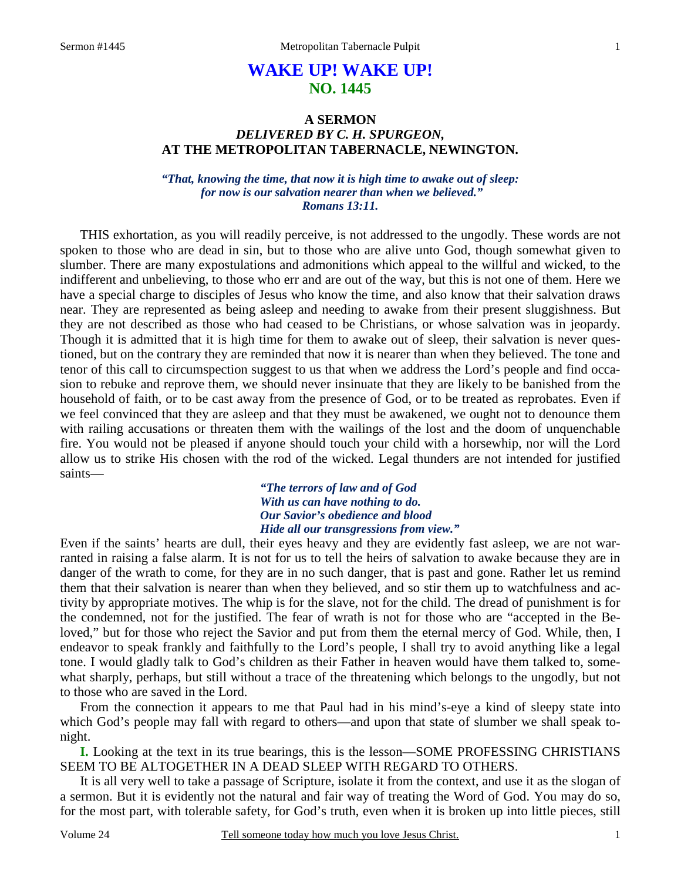# **WAKE UP! WAKE UP! NO. 1445**

### **A SERMON**  *DELIVERED BY C. H. SPURGEON,*  **AT THE METROPOLITAN TABERNACLE, NEWINGTON.**

*"That, knowing the time, that now it is high time to awake out of sleep: for now is our salvation nearer than when we believed." Romans 13:11.* 

THIS exhortation, as you will readily perceive, is not addressed to the ungodly. These words are not spoken to those who are dead in sin, but to those who are alive unto God, though somewhat given to slumber. There are many expostulations and admonitions which appeal to the willful and wicked, to the indifferent and unbelieving, to those who err and are out of the way, but this is not one of them. Here we have a special charge to disciples of Jesus who know the time, and also know that their salvation draws near. They are represented as being asleep and needing to awake from their present sluggishness. But they are not described as those who had ceased to be Christians, or whose salvation was in jeopardy. Though it is admitted that it is high time for them to awake out of sleep, their salvation is never questioned, but on the contrary they are reminded that now it is nearer than when they believed. The tone and tenor of this call to circumspection suggest to us that when we address the Lord's people and find occasion to rebuke and reprove them, we should never insinuate that they are likely to be banished from the household of faith, or to be cast away from the presence of God, or to be treated as reprobates. Even if we feel convinced that they are asleep and that they must be awakened, we ought not to denounce them with railing accusations or threaten them with the wailings of the lost and the doom of unquenchable fire. You would not be pleased if anyone should touch your child with a horsewhip, nor will the Lord allow us to strike His chosen with the rod of the wicked. Legal thunders are not intended for justified saints—

> *"The terrors of law and of God With us can have nothing to do. Our Savior's obedience and blood Hide all our transgressions from view."*

Even if the saints' hearts are dull, their eyes heavy and they are evidently fast asleep, we are not warranted in raising a false alarm. It is not for us to tell the heirs of salvation to awake because they are in danger of the wrath to come, for they are in no such danger, that is past and gone. Rather let us remind them that their salvation is nearer than when they believed, and so stir them up to watchfulness and activity by appropriate motives. The whip is for the slave, not for the child. The dread of punishment is for the condemned, not for the justified. The fear of wrath is not for those who are "accepted in the Beloved," but for those who reject the Savior and put from them the eternal mercy of God. While, then, I endeavor to speak frankly and faithfully to the Lord's people, I shall try to avoid anything like a legal tone. I would gladly talk to God's children as their Father in heaven would have them talked to, somewhat sharply, perhaps, but still without a trace of the threatening which belongs to the ungodly, but not to those who are saved in the Lord.

From the connection it appears to me that Paul had in his mind's-eye a kind of sleepy state into which God's people may fall with regard to others—and upon that state of slumber we shall speak tonight.

**I.** Looking at the text in its true bearings, this is the lesson—SOME PROFESSING CHRISTIANS SEEM TO BE ALTOGETHER IN A DEAD SLEEP WITH REGARD TO OTHERS.

It is all very well to take a passage of Scripture, isolate it from the context, and use it as the slogan of a sermon. But it is evidently not the natural and fair way of treating the Word of God. You may do so, for the most part, with tolerable safety, for God's truth, even when it is broken up into little pieces, still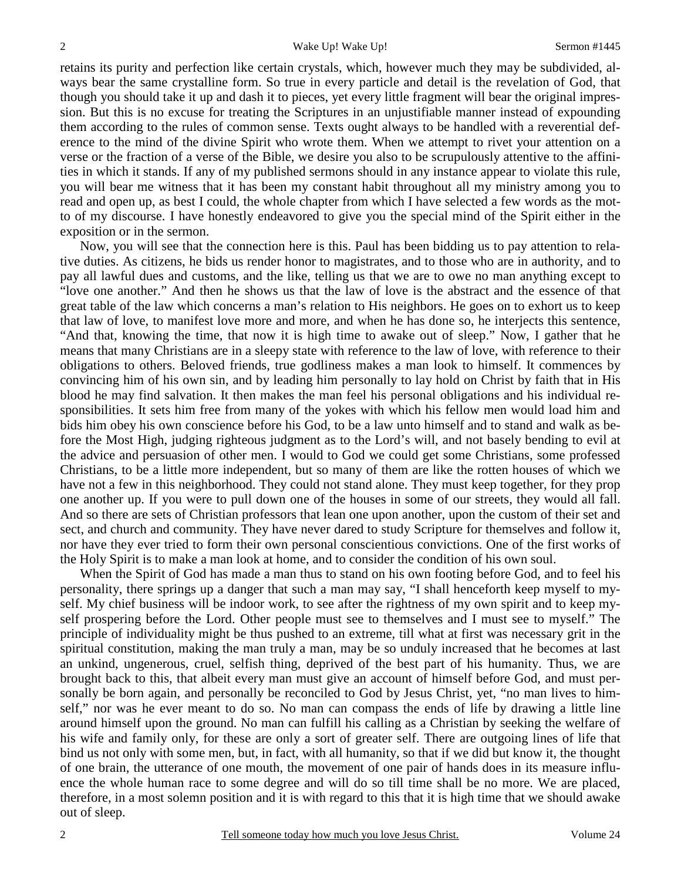retains its purity and perfection like certain crystals, which, however much they may be subdivided, always bear the same crystalline form. So true in every particle and detail is the revelation of God, that though you should take it up and dash it to pieces, yet every little fragment will bear the original impression. But this is no excuse for treating the Scriptures in an unjustifiable manner instead of expounding them according to the rules of common sense. Texts ought always to be handled with a reverential deference to the mind of the divine Spirit who wrote them. When we attempt to rivet your attention on a verse or the fraction of a verse of the Bible, we desire you also to be scrupulously attentive to the affinities in which it stands. If any of my published sermons should in any instance appear to violate this rule, you will bear me witness that it has been my constant habit throughout all my ministry among you to read and open up, as best I could, the whole chapter from which I have selected a few words as the motto of my discourse. I have honestly endeavored to give you the special mind of the Spirit either in the exposition or in the sermon.

Now, you will see that the connection here is this. Paul has been bidding us to pay attention to relative duties. As citizens, he bids us render honor to magistrates, and to those who are in authority, and to pay all lawful dues and customs, and the like, telling us that we are to owe no man anything except to "love one another." And then he shows us that the law of love is the abstract and the essence of that great table of the law which concerns a man's relation to His neighbors. He goes on to exhort us to keep that law of love, to manifest love more and more, and when he has done so, he interjects this sentence, "And that, knowing the time, that now it is high time to awake out of sleep." Now, I gather that he means that many Christians are in a sleepy state with reference to the law of love, with reference to their obligations to others. Beloved friends, true godliness makes a man look to himself. It commences by convincing him of his own sin, and by leading him personally to lay hold on Christ by faith that in His blood he may find salvation. It then makes the man feel his personal obligations and his individual responsibilities. It sets him free from many of the yokes with which his fellow men would load him and bids him obey his own conscience before his God, to be a law unto himself and to stand and walk as before the Most High, judging righteous judgment as to the Lord's will, and not basely bending to evil at the advice and persuasion of other men. I would to God we could get some Christians, some professed Christians, to be a little more independent, but so many of them are like the rotten houses of which we have not a few in this neighborhood. They could not stand alone. They must keep together, for they prop one another up. If you were to pull down one of the houses in some of our streets, they would all fall. And so there are sets of Christian professors that lean one upon another, upon the custom of their set and sect, and church and community. They have never dared to study Scripture for themselves and follow it, nor have they ever tried to form their own personal conscientious convictions. One of the first works of the Holy Spirit is to make a man look at home, and to consider the condition of his own soul.

When the Spirit of God has made a man thus to stand on his own footing before God, and to feel his personality, there springs up a danger that such a man may say, "I shall henceforth keep myself to myself. My chief business will be indoor work, to see after the rightness of my own spirit and to keep myself prospering before the Lord. Other people must see to themselves and I must see to myself." The principle of individuality might be thus pushed to an extreme, till what at first was necessary grit in the spiritual constitution, making the man truly a man, may be so unduly increased that he becomes at last an unkind, ungenerous, cruel, selfish thing, deprived of the best part of his humanity. Thus, we are brought back to this, that albeit every man must give an account of himself before God, and must personally be born again, and personally be reconciled to God by Jesus Christ, yet, "no man lives to himself," nor was he ever meant to do so. No man can compass the ends of life by drawing a little line around himself upon the ground. No man can fulfill his calling as a Christian by seeking the welfare of his wife and family only, for these are only a sort of greater self. There are outgoing lines of life that bind us not only with some men, but, in fact, with all humanity, so that if we did but know it, the thought of one brain, the utterance of one mouth, the movement of one pair of hands does in its measure influence the whole human race to some degree and will do so till time shall be no more. We are placed, therefore, in a most solemn position and it is with regard to this that it is high time that we should awake out of sleep.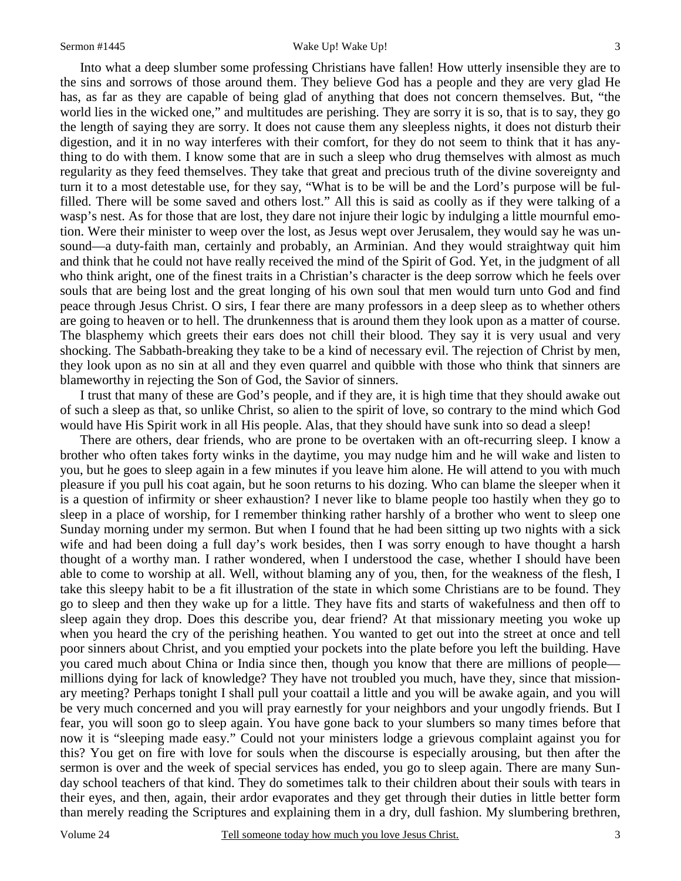Into what a deep slumber some professing Christians have fallen! How utterly insensible they are to the sins and sorrows of those around them. They believe God has a people and they are very glad He has, as far as they are capable of being glad of anything that does not concern themselves. But, "the world lies in the wicked one," and multitudes are perishing. They are sorry it is so, that is to say, they go the length of saying they are sorry. It does not cause them any sleepless nights, it does not disturb their digestion, and it in no way interferes with their comfort, for they do not seem to think that it has anything to do with them. I know some that are in such a sleep who drug themselves with almost as much regularity as they feed themselves. They take that great and precious truth of the divine sovereignty and turn it to a most detestable use, for they say, "What is to be will be and the Lord's purpose will be fulfilled. There will be some saved and others lost." All this is said as coolly as if they were talking of a wasp's nest. As for those that are lost, they dare not injure their logic by indulging a little mournful emotion. Were their minister to weep over the lost, as Jesus wept over Jerusalem, they would say he was unsound—a duty-faith man, certainly and probably, an Arminian. And they would straightway quit him and think that he could not have really received the mind of the Spirit of God. Yet, in the judgment of all who think aright, one of the finest traits in a Christian's character is the deep sorrow which he feels over souls that are being lost and the great longing of his own soul that men would turn unto God and find peace through Jesus Christ. O sirs, I fear there are many professors in a deep sleep as to whether others are going to heaven or to hell. The drunkenness that is around them they look upon as a matter of course. The blasphemy which greets their ears does not chill their blood. They say it is very usual and very shocking. The Sabbath-breaking they take to be a kind of necessary evil. The rejection of Christ by men, they look upon as no sin at all and they even quarrel and quibble with those who think that sinners are blameworthy in rejecting the Son of God, the Savior of sinners.

I trust that many of these are God's people, and if they are, it is high time that they should awake out of such a sleep as that, so unlike Christ, so alien to the spirit of love, so contrary to the mind which God would have His Spirit work in all His people. Alas, that they should have sunk into so dead a sleep!

There are others, dear friends, who are prone to be overtaken with an oft-recurring sleep. I know a brother who often takes forty winks in the daytime, you may nudge him and he will wake and listen to you, but he goes to sleep again in a few minutes if you leave him alone. He will attend to you with much pleasure if you pull his coat again, but he soon returns to his dozing. Who can blame the sleeper when it is a question of infirmity or sheer exhaustion? I never like to blame people too hastily when they go to sleep in a place of worship, for I remember thinking rather harshly of a brother who went to sleep one Sunday morning under my sermon. But when I found that he had been sitting up two nights with a sick wife and had been doing a full day's work besides, then I was sorry enough to have thought a harsh thought of a worthy man. I rather wondered, when I understood the case, whether I should have been able to come to worship at all. Well, without blaming any of you, then, for the weakness of the flesh, I take this sleepy habit to be a fit illustration of the state in which some Christians are to be found. They go to sleep and then they wake up for a little. They have fits and starts of wakefulness and then off to sleep again they drop. Does this describe you, dear friend? At that missionary meeting you woke up when you heard the cry of the perishing heathen. You wanted to get out into the street at once and tell poor sinners about Christ, and you emptied your pockets into the plate before you left the building. Have you cared much about China or India since then, though you know that there are millions of people millions dying for lack of knowledge? They have not troubled you much, have they, since that missionary meeting? Perhaps tonight I shall pull your coattail a little and you will be awake again, and you will be very much concerned and you will pray earnestly for your neighbors and your ungodly friends. But I fear, you will soon go to sleep again. You have gone back to your slumbers so many times before that now it is "sleeping made easy." Could not your ministers lodge a grievous complaint against you for this? You get on fire with love for souls when the discourse is especially arousing, but then after the sermon is over and the week of special services has ended, you go to sleep again. There are many Sunday school teachers of that kind. They do sometimes talk to their children about their souls with tears in their eyes, and then, again, their ardor evaporates and they get through their duties in little better form than merely reading the Scriptures and explaining them in a dry, dull fashion. My slumbering brethren,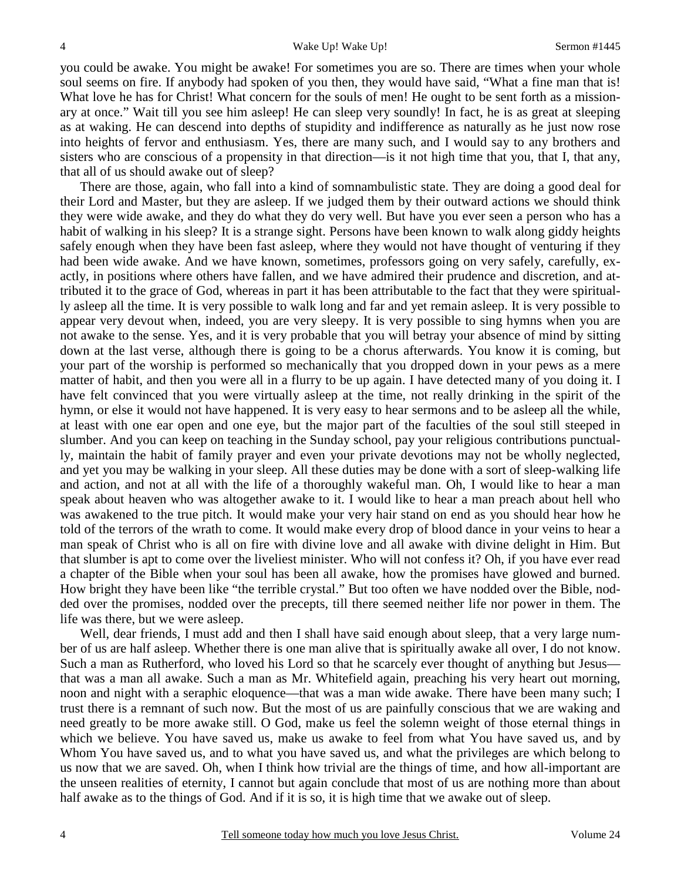you could be awake. You might be awake! For sometimes you are so. There are times when your whole soul seems on fire. If anybody had spoken of you then, they would have said, "What a fine man that is! What love he has for Christ! What concern for the souls of men! He ought to be sent forth as a missionary at once." Wait till you see him asleep! He can sleep very soundly! In fact, he is as great at sleeping as at waking. He can descend into depths of stupidity and indifference as naturally as he just now rose into heights of fervor and enthusiasm. Yes, there are many such, and I would say to any brothers and sisters who are conscious of a propensity in that direction—is it not high time that you, that I, that any, that all of us should awake out of sleep?

There are those, again, who fall into a kind of somnambulistic state. They are doing a good deal for their Lord and Master, but they are asleep. If we judged them by their outward actions we should think they were wide awake, and they do what they do very well. But have you ever seen a person who has a habit of walking in his sleep? It is a strange sight. Persons have been known to walk along giddy heights safely enough when they have been fast asleep, where they would not have thought of venturing if they had been wide awake. And we have known, sometimes, professors going on very safely, carefully, exactly, in positions where others have fallen, and we have admired their prudence and discretion, and attributed it to the grace of God, whereas in part it has been attributable to the fact that they were spiritually asleep all the time. It is very possible to walk long and far and yet remain asleep. It is very possible to appear very devout when, indeed, you are very sleepy. It is very possible to sing hymns when you are not awake to the sense. Yes, and it is very probable that you will betray your absence of mind by sitting down at the last verse, although there is going to be a chorus afterwards. You know it is coming, but your part of the worship is performed so mechanically that you dropped down in your pews as a mere matter of habit, and then you were all in a flurry to be up again. I have detected many of you doing it. I have felt convinced that you were virtually asleep at the time, not really drinking in the spirit of the hymn, or else it would not have happened. It is very easy to hear sermons and to be asleep all the while, at least with one ear open and one eye, but the major part of the faculties of the soul still steeped in slumber. And you can keep on teaching in the Sunday school, pay your religious contributions punctually, maintain the habit of family prayer and even your private devotions may not be wholly neglected, and yet you may be walking in your sleep. All these duties may be done with a sort of sleep-walking life and action, and not at all with the life of a thoroughly wakeful man. Oh, I would like to hear a man speak about heaven who was altogether awake to it. I would like to hear a man preach about hell who was awakened to the true pitch. It would make your very hair stand on end as you should hear how he told of the terrors of the wrath to come. It would make every drop of blood dance in your veins to hear a man speak of Christ who is all on fire with divine love and all awake with divine delight in Him. But that slumber is apt to come over the liveliest minister. Who will not confess it? Oh, if you have ever read a chapter of the Bible when your soul has been all awake, how the promises have glowed and burned. How bright they have been like "the terrible crystal." But too often we have nodded over the Bible, nodded over the promises, nodded over the precepts, till there seemed neither life nor power in them. The life was there, but we were asleep.

Well, dear friends, I must add and then I shall have said enough about sleep, that a very large number of us are half asleep. Whether there is one man alive that is spiritually awake all over, I do not know. Such a man as Rutherford, who loved his Lord so that he scarcely ever thought of anything but Jesus that was a man all awake. Such a man as Mr. Whitefield again, preaching his very heart out morning, noon and night with a seraphic eloquence—that was a man wide awake. There have been many such; I trust there is a remnant of such now. But the most of us are painfully conscious that we are waking and need greatly to be more awake still. O God, make us feel the solemn weight of those eternal things in which we believe. You have saved us, make us awake to feel from what You have saved us, and by Whom You have saved us, and to what you have saved us, and what the privileges are which belong to us now that we are saved. Oh, when I think how trivial are the things of time, and how all-important are the unseen realities of eternity, I cannot but again conclude that most of us are nothing more than about half awake as to the things of God. And if it is so, it is high time that we awake out of sleep.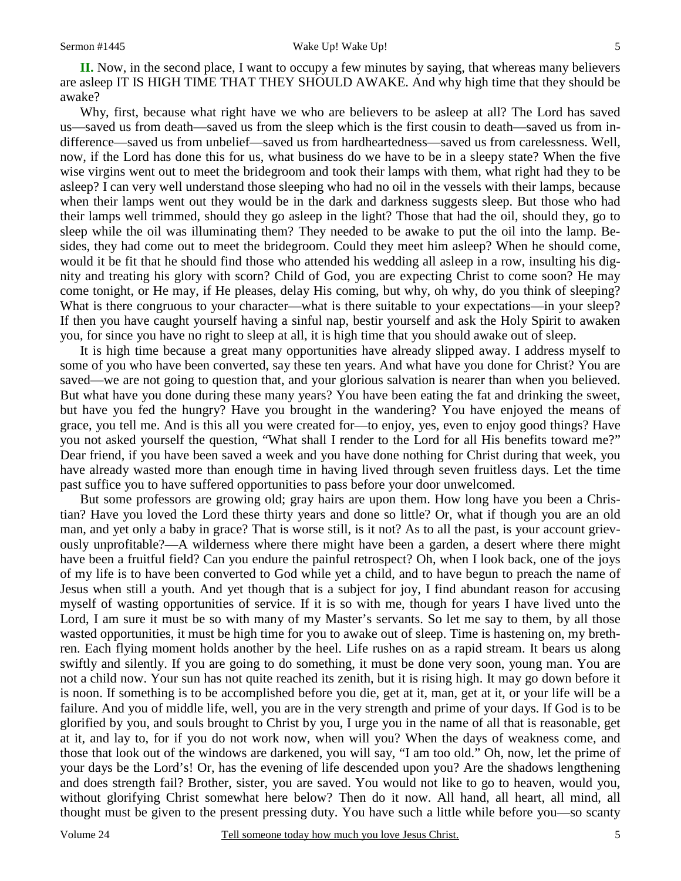**II.** Now, in the second place, I want to occupy a few minutes by saying, that whereas many believers are asleep IT IS HIGH TIME THAT THEY SHOULD AWAKE. And why high time that they should be awake?

Why, first, because what right have we who are believers to be asleep at all? The Lord has saved us—saved us from death—saved us from the sleep which is the first cousin to death—saved us from indifference—saved us from unbelief—saved us from hardheartedness—saved us from carelessness. Well, now, if the Lord has done this for us, what business do we have to be in a sleepy state? When the five wise virgins went out to meet the bridegroom and took their lamps with them, what right had they to be asleep? I can very well understand those sleeping who had no oil in the vessels with their lamps, because when their lamps went out they would be in the dark and darkness suggests sleep. But those who had their lamps well trimmed, should they go asleep in the light? Those that had the oil, should they, go to sleep while the oil was illuminating them? They needed to be awake to put the oil into the lamp. Besides, they had come out to meet the bridegroom. Could they meet him asleep? When he should come, would it be fit that he should find those who attended his wedding all asleep in a row, insulting his dignity and treating his glory with scorn? Child of God, you are expecting Christ to come soon? He may come tonight, or He may, if He pleases, delay His coming, but why, oh why, do you think of sleeping? What is there congruous to your character—what is there suitable to your expectations—in your sleep? If then you have caught yourself having a sinful nap, bestir yourself and ask the Holy Spirit to awaken you, for since you have no right to sleep at all, it is high time that you should awake out of sleep.

It is high time because a great many opportunities have already slipped away. I address myself to some of you who have been converted, say these ten years. And what have you done for Christ? You are saved—we are not going to question that, and your glorious salvation is nearer than when you believed. But what have you done during these many years? You have been eating the fat and drinking the sweet, but have you fed the hungry? Have you brought in the wandering? You have enjoyed the means of grace, you tell me. And is this all you were created for—to enjoy, yes, even to enjoy good things? Have you not asked yourself the question, "What shall I render to the Lord for all His benefits toward me?" Dear friend, if you have been saved a week and you have done nothing for Christ during that week, you have already wasted more than enough time in having lived through seven fruitless days. Let the time past suffice you to have suffered opportunities to pass before your door unwelcomed.

But some professors are growing old; gray hairs are upon them. How long have you been a Christian? Have you loved the Lord these thirty years and done so little? Or, what if though you are an old man, and yet only a baby in grace? That is worse still, is it not? As to all the past, is your account grievously unprofitable?—A wilderness where there might have been a garden, a desert where there might have been a fruitful field? Can you endure the painful retrospect? Oh, when I look back, one of the joys of my life is to have been converted to God while yet a child, and to have begun to preach the name of Jesus when still a youth. And yet though that is a subject for joy, I find abundant reason for accusing myself of wasting opportunities of service. If it is so with me, though for years I have lived unto the Lord, I am sure it must be so with many of my Master's servants. So let me say to them, by all those wasted opportunities, it must be high time for you to awake out of sleep. Time is hastening on, my brethren. Each flying moment holds another by the heel. Life rushes on as a rapid stream. It bears us along swiftly and silently. If you are going to do something, it must be done very soon, young man. You are not a child now. Your sun has not quite reached its zenith, but it is rising high. It may go down before it is noon. If something is to be accomplished before you die, get at it, man, get at it, or your life will be a failure. And you of middle life, well, you are in the very strength and prime of your days. If God is to be glorified by you, and souls brought to Christ by you, I urge you in the name of all that is reasonable, get at it, and lay to, for if you do not work now, when will you? When the days of weakness come, and those that look out of the windows are darkened, you will say, "I am too old." Oh, now, let the prime of your days be the Lord's! Or, has the evening of life descended upon you? Are the shadows lengthening and does strength fail? Brother, sister, you are saved. You would not like to go to heaven, would you, without glorifying Christ somewhat here below? Then do it now. All hand, all heart, all mind, all thought must be given to the present pressing duty. You have such a little while before you—so scanty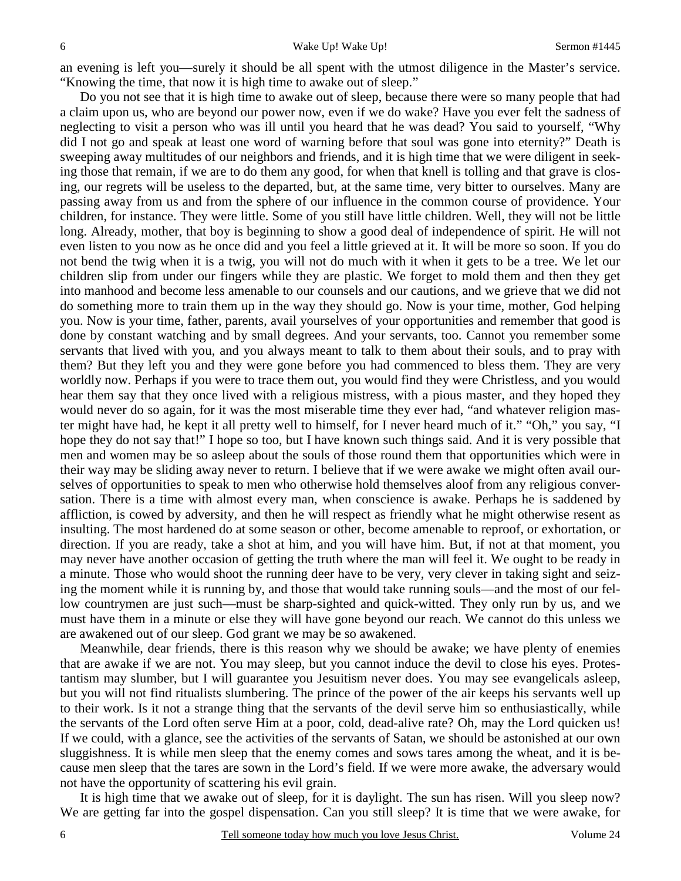an evening is left you—surely it should be all spent with the utmost diligence in the Master's service. "Knowing the time, that now it is high time to awake out of sleep."

Do you not see that it is high time to awake out of sleep, because there were so many people that had a claim upon us, who are beyond our power now, even if we do wake? Have you ever felt the sadness of neglecting to visit a person who was ill until you heard that he was dead? You said to yourself, "Why did I not go and speak at least one word of warning before that soul was gone into eternity?" Death is sweeping away multitudes of our neighbors and friends, and it is high time that we were diligent in seeking those that remain, if we are to do them any good, for when that knell is tolling and that grave is closing, our regrets will be useless to the departed, but, at the same time, very bitter to ourselves. Many are passing away from us and from the sphere of our influence in the common course of providence. Your children, for instance. They were little. Some of you still have little children. Well, they will not be little long. Already, mother, that boy is beginning to show a good deal of independence of spirit. He will not even listen to you now as he once did and you feel a little grieved at it. It will be more so soon. If you do not bend the twig when it is a twig, you will not do much with it when it gets to be a tree. We let our children slip from under our fingers while they are plastic. We forget to mold them and then they get into manhood and become less amenable to our counsels and our cautions, and we grieve that we did not do something more to train them up in the way they should go. Now is your time, mother, God helping you. Now is your time, father, parents, avail yourselves of your opportunities and remember that good is done by constant watching and by small degrees. And your servants, too. Cannot you remember some servants that lived with you, and you always meant to talk to them about their souls, and to pray with them? But they left you and they were gone before you had commenced to bless them. They are very worldly now. Perhaps if you were to trace them out, you would find they were Christless, and you would hear them say that they once lived with a religious mistress, with a pious master, and they hoped they would never do so again, for it was the most miserable time they ever had, "and whatever religion master might have had, he kept it all pretty well to himself, for I never heard much of it." "Oh," you say, "I hope they do not say that!" I hope so too, but I have known such things said. And it is very possible that men and women may be so asleep about the souls of those round them that opportunities which were in their way may be sliding away never to return. I believe that if we were awake we might often avail ourselves of opportunities to speak to men who otherwise hold themselves aloof from any religious conversation. There is a time with almost every man, when conscience is awake. Perhaps he is saddened by affliction, is cowed by adversity, and then he will respect as friendly what he might otherwise resent as insulting. The most hardened do at some season or other, become amenable to reproof, or exhortation, or direction. If you are ready, take a shot at him, and you will have him. But, if not at that moment, you may never have another occasion of getting the truth where the man will feel it. We ought to be ready in a minute. Those who would shoot the running deer have to be very, very clever in taking sight and seizing the moment while it is running by, and those that would take running souls—and the most of our fellow countrymen are just such—must be sharp-sighted and quick-witted. They only run by us, and we must have them in a minute or else they will have gone beyond our reach. We cannot do this unless we are awakened out of our sleep. God grant we may be so awakened.

Meanwhile, dear friends, there is this reason why we should be awake; we have plenty of enemies that are awake if we are not. You may sleep, but you cannot induce the devil to close his eyes. Protestantism may slumber, but I will guarantee you Jesuitism never does. You may see evangelicals asleep, but you will not find ritualists slumbering. The prince of the power of the air keeps his servants well up to their work. Is it not a strange thing that the servants of the devil serve him so enthusiastically, while the servants of the Lord often serve Him at a poor, cold, dead-alive rate? Oh, may the Lord quicken us! If we could, with a glance, see the activities of the servants of Satan, we should be astonished at our own sluggishness. It is while men sleep that the enemy comes and sows tares among the wheat, and it is because men sleep that the tares are sown in the Lord's field. If we were more awake, the adversary would not have the opportunity of scattering his evil grain.

It is high time that we awake out of sleep, for it is daylight. The sun has risen. Will you sleep now? We are getting far into the gospel dispensation. Can you still sleep? It is time that we were awake, for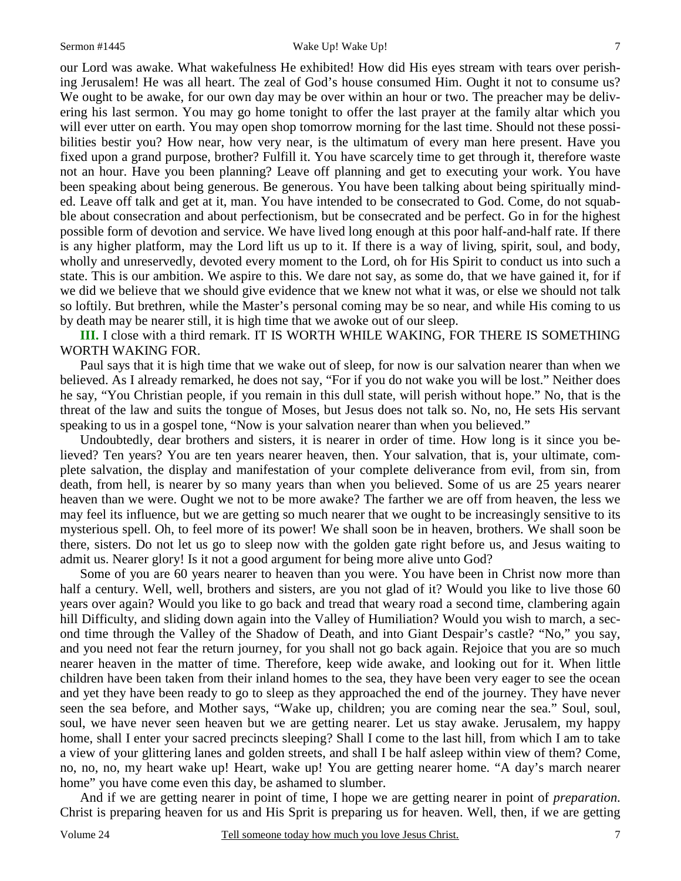our Lord was awake. What wakefulness He exhibited! How did His eyes stream with tears over perishing Jerusalem! He was all heart. The zeal of God's house consumed Him. Ought it not to consume us? We ought to be awake, for our own day may be over within an hour or two. The preacher may be delivering his last sermon. You may go home tonight to offer the last prayer at the family altar which you will ever utter on earth. You may open shop tomorrow morning for the last time. Should not these possibilities bestir you? How near, how very near, is the ultimatum of every man here present. Have you fixed upon a grand purpose, brother? Fulfill it. You have scarcely time to get through it, therefore waste not an hour. Have you been planning? Leave off planning and get to executing your work. You have been speaking about being generous. Be generous. You have been talking about being spiritually minded. Leave off talk and get at it, man. You have intended to be consecrated to God. Come, do not squabble about consecration and about perfectionism, but be consecrated and be perfect. Go in for the highest possible form of devotion and service. We have lived long enough at this poor half-and-half rate. If there is any higher platform, may the Lord lift us up to it. If there is a way of living, spirit, soul, and body, wholly and unreservedly, devoted every moment to the Lord, oh for His Spirit to conduct us into such a state. This is our ambition. We aspire to this. We dare not say, as some do, that we have gained it, for if we did we believe that we should give evidence that we knew not what it was, or else we should not talk so loftily. But brethren, while the Master's personal coming may be so near, and while His coming to us by death may be nearer still, it is high time that we awoke out of our sleep.

**III.** I close with a third remark. IT IS WORTH WHILE WAKING, FOR THERE IS SOMETHING WORTH WAKING FOR.

Paul says that it is high time that we wake out of sleep, for now is our salvation nearer than when we believed. As I already remarked, he does not say, "For if you do not wake you will be lost." Neither does he say, "You Christian people, if you remain in this dull state, will perish without hope." No, that is the threat of the law and suits the tongue of Moses, but Jesus does not talk so. No, no, He sets His servant speaking to us in a gospel tone, "Now is your salvation nearer than when you believed."

Undoubtedly, dear brothers and sisters, it is nearer in order of time. How long is it since you believed? Ten years? You are ten years nearer heaven, then. Your salvation, that is, your ultimate, complete salvation, the display and manifestation of your complete deliverance from evil, from sin, from death, from hell, is nearer by so many years than when you believed. Some of us are 25 years nearer heaven than we were. Ought we not to be more awake? The farther we are off from heaven, the less we may feel its influence, but we are getting so much nearer that we ought to be increasingly sensitive to its mysterious spell. Oh, to feel more of its power! We shall soon be in heaven, brothers. We shall soon be there, sisters. Do not let us go to sleep now with the golden gate right before us, and Jesus waiting to admit us. Nearer glory! Is it not a good argument for being more alive unto God?

Some of you are 60 years nearer to heaven than you were. You have been in Christ now more than half a century. Well, well, brothers and sisters, are you not glad of it? Would you like to live those 60 years over again? Would you like to go back and tread that weary road a second time, clambering again hill Difficulty, and sliding down again into the Valley of Humiliation? Would you wish to march, a second time through the Valley of the Shadow of Death, and into Giant Despair's castle? "No," you say, and you need not fear the return journey, for you shall not go back again. Rejoice that you are so much nearer heaven in the matter of time. Therefore, keep wide awake, and looking out for it. When little children have been taken from their inland homes to the sea, they have been very eager to see the ocean and yet they have been ready to go to sleep as they approached the end of the journey. They have never seen the sea before, and Mother says, "Wake up, children; you are coming near the sea." Soul, soul, soul, we have never seen heaven but we are getting nearer. Let us stay awake. Jerusalem, my happy home, shall I enter your sacred precincts sleeping? Shall I come to the last hill, from which I am to take a view of your glittering lanes and golden streets, and shall I be half asleep within view of them? Come, no, no, no, my heart wake up! Heart, wake up! You are getting nearer home. "A day's march nearer home" you have come even this day, be ashamed to slumber.

And if we are getting nearer in point of time, I hope we are getting nearer in point of *preparation*. Christ is preparing heaven for us and His Sprit is preparing us for heaven. Well, then, if we are getting